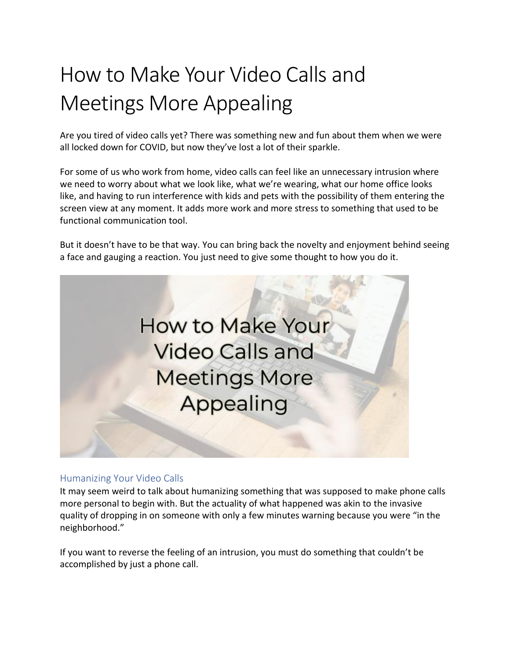# How to Make Your Video Calls and Meetings More Appealing

Are you tired of video calls yet? There was something new and fun about them when we were all locked down for COVID, but now they've lost a lot of their sparkle.

For some of us who work from home, video calls can feel like an unnecessary intrusion where we need to worry about what we look like, what we're wearing, what our home office looks like, and having to run interference with kids and pets with the possibility of them entering the screen view at any moment. It adds more work and more stress to something that used to be functional communication tool.

But it doesn't have to be that way. You can bring back the novelty and enjoyment behind seeing a face and gauging a reaction. You just need to give some thought to how you do it.



## Humanizing Your Video Calls

It may seem weird to talk about humanizing something that was supposed to make phone calls more personal to begin with. But the actuality of what happened was akin to the invasive quality of dropping in on someone with only a few minutes warning because you were "in the neighborhood."

If you want to reverse the feeling of an intrusion, you must do something that couldn't be accomplished by just a phone call.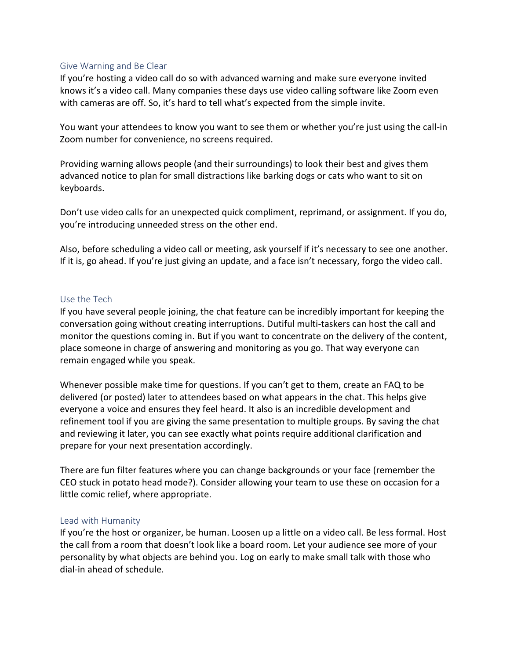## Give Warning and Be Clear

If you're hosting a video call do so with advanced warning and make sure everyone invited knows it's a video call. Many companies these days use video calling software like Zoom even with cameras are off. So, it's hard to tell what's expected from the simple invite.

You want your attendees to know you want to see them or whether you're just using the call-in Zoom number for convenience, no screens required.

Providing warning allows people (and their surroundings) to look their best and gives them advanced notice to plan for small distractions like barking dogs or cats who want to sit on keyboards.

Don't use video calls for an unexpected quick compliment, reprimand, or assignment. If you do, you're introducing unneeded stress on the other end.

Also, before scheduling a video call or meeting, ask yourself if it's necessary to see one another. If it is, go ahead. If you're just giving an update, and a face isn't necessary, forgo the video call.

#### Use the Tech

If you have several people joining, the chat feature can be incredibly important for keeping the conversation going without creating interruptions. Dutiful multi-taskers can host the call and monitor the questions coming in. But if you want to concentrate on the delivery of the content, place someone in charge of answering and monitoring as you go. That way everyone can remain engaged while you speak.

Whenever possible make time for questions. If you can't get to them, create an FAQ to be delivered (or posted) later to attendees based on what appears in the chat. This helps give everyone a voice and ensures they feel heard. It also is an incredible development and refinement tool if you are giving the same presentation to multiple groups. By saving the chat and reviewing it later, you can see exactly what points require additional clarification and prepare for your next presentation accordingly.

There are fun filter features where you can change backgrounds or your face (remember the CEO stuck in potato head mode?). Consider allowing your team to use these on occasion for a little comic relief, where appropriate.

#### Lead with Humanity

If you're the host or organizer, be human. Loosen up a little on a video call. Be less formal. Host the call from a room that doesn't look like a board room. Let your audience see more of your personality by what objects are behind you. Log on early to make small talk with those who dial-in ahead of schedule.